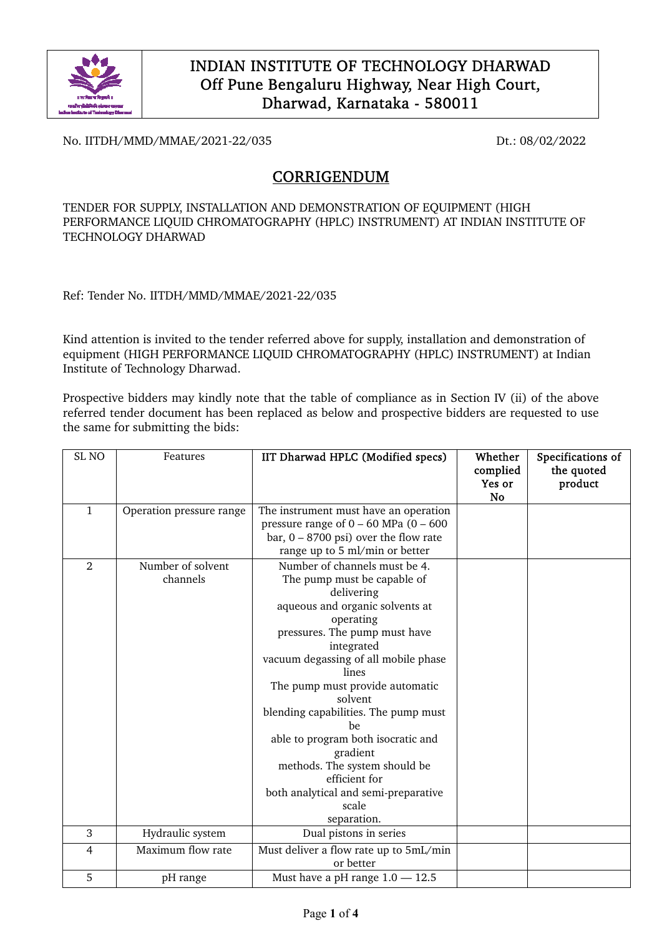

No. IITDH/MMD/MMAE/2021-22/035 Dt.: 08/02/2022

# CORRIGENDUM

TENDER FOR SUPPLY, INSTALLATION AND DEMONSTRATION OF EQUIPMENT (HIGH PERFORMANCE LIQUID CHROMATOGRAPHY (HPLC) INSTRUMENT) AT INDIAN INSTITUTE OF TECHNOLOGY DHARWAD

Ref: Tender No. IITDH/MMD/MMAE/2021-22/035

Kind attention is invited to the tender referred above for supply, installation and demonstration of equipment (HIGH PERFORMANCE LIQUID CHROMATOGRAPHY (HPLC) INSTRUMENT) at Indian Institute of Technology Dharwad.

Prospective bidders may kindly note that the table of compliance as in Section IV (ii) of the above referred tender document has been replaced as below and prospective bidders are requested to use the same for submitting the bids:

| SL <sub>NO</sub> | Features                 | IIT Dharwad HPLC (Modified specs)             | Whether<br>complied<br>Yes or<br>No | Specifications of<br>the quoted<br>product |
|------------------|--------------------------|-----------------------------------------------|-------------------------------------|--------------------------------------------|
| $\mathbf{1}$     | Operation pressure range | The instrument must have an operation         |                                     |                                            |
|                  |                          | pressure range of $0 - 60$ MPa $(0 - 600)$    |                                     |                                            |
|                  |                          | bar, $0 - 8700$ psi) over the flow rate       |                                     |                                            |
|                  |                          | range up to 5 ml/min or better                |                                     |                                            |
| $\mathfrak{D}$   | Number of solvent        | Number of channels must be 4.                 |                                     |                                            |
|                  | channels                 | The pump must be capable of                   |                                     |                                            |
|                  |                          | delivering                                    |                                     |                                            |
|                  |                          | aqueous and organic solvents at               |                                     |                                            |
|                  |                          | operating                                     |                                     |                                            |
|                  |                          | pressures. The pump must have                 |                                     |                                            |
|                  |                          | integrated                                    |                                     |                                            |
|                  |                          | vacuum degassing of all mobile phase          |                                     |                                            |
|                  |                          | lines                                         |                                     |                                            |
|                  |                          | The pump must provide automatic               |                                     |                                            |
|                  |                          | solvent                                       |                                     |                                            |
|                  |                          | blending capabilities. The pump must          |                                     |                                            |
|                  |                          | be                                            |                                     |                                            |
|                  |                          | able to program both isocratic and            |                                     |                                            |
|                  |                          | gradient                                      |                                     |                                            |
|                  |                          | methods. The system should be                 |                                     |                                            |
|                  |                          | efficient for                                 |                                     |                                            |
|                  |                          | both analytical and semi-preparative<br>scale |                                     |                                            |
|                  |                          |                                               |                                     |                                            |
| 3                |                          | separation.                                   |                                     |                                            |
|                  | Hydraulic system         | Dual pistons in series                        |                                     |                                            |
| $\overline{4}$   | Maximum flow rate        | Must deliver a flow rate up to 5mL/min        |                                     |                                            |
|                  |                          | or better                                     |                                     |                                            |
| 5                | pH range                 | Must have a pH range $1.0 - 12.5$             |                                     |                                            |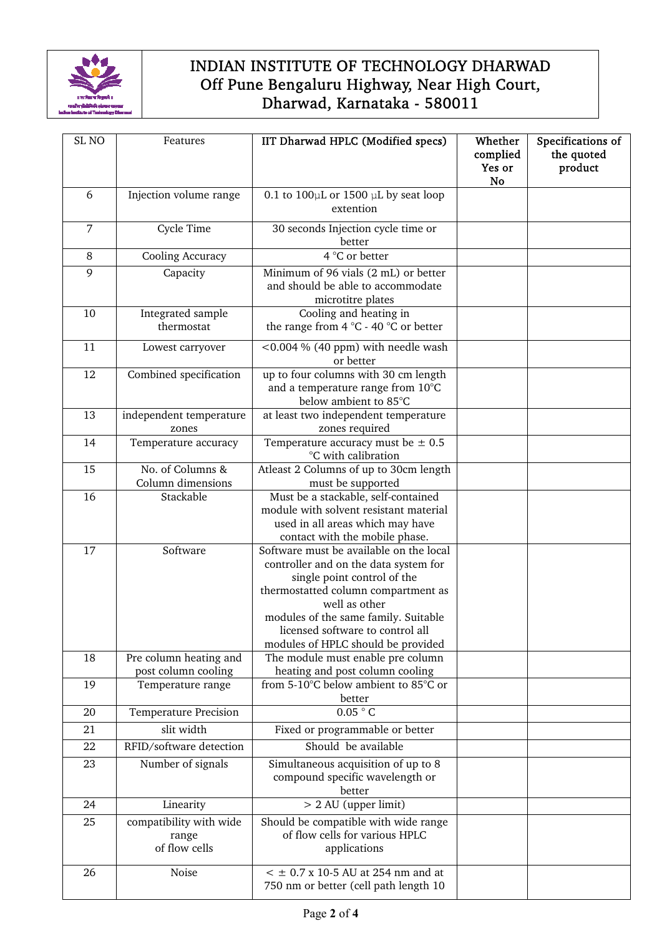

| SL <sub>NO</sub> | Features                                          | IIT Dharwad HPLC (Modified specs)                                                                                                                                                                                                                                                         | Whether<br>complied<br>Yes or<br><b>No</b> | Specifications of<br>the quoted<br>product |
|------------------|---------------------------------------------------|-------------------------------------------------------------------------------------------------------------------------------------------------------------------------------------------------------------------------------------------------------------------------------------------|--------------------------------------------|--------------------------------------------|
| 6                | Injection volume range                            | 0.1 to $100 \mu L$ or 1500 $\mu L$ by seat loop<br>extention                                                                                                                                                                                                                              |                                            |                                            |
| $\overline{7}$   | Cycle Time                                        | 30 seconds Injection cycle time or<br>better                                                                                                                                                                                                                                              |                                            |                                            |
| $\, 8$           | Cooling Accuracy                                  | 4 °C or better                                                                                                                                                                                                                                                                            |                                            |                                            |
| 9                | Capacity                                          | Minimum of 96 vials (2 mL) or better<br>and should be able to accommodate<br>microtitre plates                                                                                                                                                                                            |                                            |                                            |
| 10               | Integrated sample<br>thermostat                   | Cooling and heating in<br>the range from 4 °C - 40 °C or better                                                                                                                                                                                                                           |                                            |                                            |
| 11               | Lowest carryover                                  | <0.004 % (40 ppm) with needle wash<br>or better                                                                                                                                                                                                                                           |                                            |                                            |
| 12               | Combined specification                            | up to four columns with 30 cm length<br>and a temperature range from 10°C<br>below ambient to 85°C                                                                                                                                                                                        |                                            |                                            |
| 13               | independent temperature<br>zones                  | at least two independent temperature<br>zones required                                                                                                                                                                                                                                    |                                            |                                            |
| 14               | Temperature accuracy                              | Temperature accuracy must be $\pm$ 0.5<br>°C with calibration                                                                                                                                                                                                                             |                                            |                                            |
| 15               | No. of Columns &<br>Column dimensions             | Atleast 2 Columns of up to 30cm length<br>must be supported                                                                                                                                                                                                                               |                                            |                                            |
| 16               | Stackable                                         | Must be a stackable, self-contained<br>module with solvent resistant material<br>used in all areas which may have<br>contact with the mobile phase.                                                                                                                                       |                                            |                                            |
| 17               | Software                                          | Software must be available on the local<br>controller and on the data system for<br>single point control of the<br>thermostatted column compartment as<br>well as other<br>modules of the same family. Suitable<br>licensed software to control all<br>modules of HPLC should be provided |                                            |                                            |
| 18               | Pre column heating and<br>post column cooling     | The module must enable pre column<br>heating and post column cooling                                                                                                                                                                                                                      |                                            |                                            |
| 19               | Temperature range                                 | from 5-10°C below ambient to 85°C or<br>better                                                                                                                                                                                                                                            |                                            |                                            |
| 20               | <b>Temperature Precision</b>                      | 0.05 °C                                                                                                                                                                                                                                                                                   |                                            |                                            |
| 21               | slit width                                        | Fixed or programmable or better                                                                                                                                                                                                                                                           |                                            |                                            |
| 22               | RFID/software detection                           | Should be available                                                                                                                                                                                                                                                                       |                                            |                                            |
| 23               | Number of signals                                 | Simultaneous acquisition of up to 8<br>compound specific wavelength or<br>better                                                                                                                                                                                                          |                                            |                                            |
| 24               | Linearity                                         | $> 2$ AU (upper limit)                                                                                                                                                                                                                                                                    |                                            |                                            |
| 25               | compatibility with wide<br>range<br>of flow cells | Should be compatible with wide range<br>of flow cells for various HPLC<br>applications                                                                                                                                                                                                    |                                            |                                            |
| 26               | Noise                                             | $\leq$ ± 0.7 x 10-5 AU at 254 nm and at<br>750 nm or better (cell path length 10                                                                                                                                                                                                          |                                            |                                            |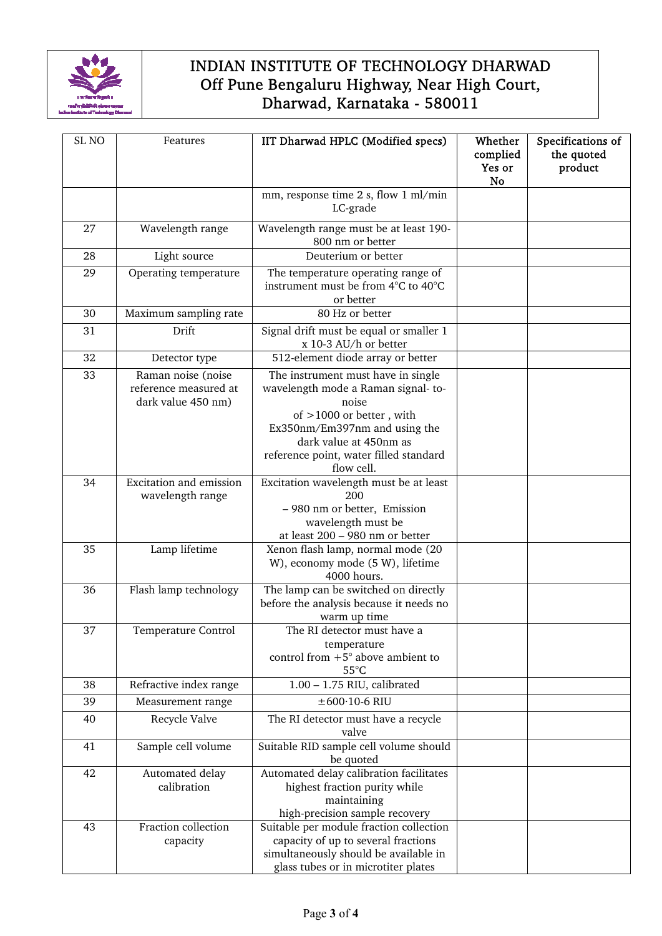

| SL <sub>NO</sub> | Features                                                          | IIT Dharwad HPLC (Modified specs)                                                                                                                                                                                                  | Whether<br>complied<br>Yes or<br><b>No</b> | Specifications of<br>the quoted<br>product |
|------------------|-------------------------------------------------------------------|------------------------------------------------------------------------------------------------------------------------------------------------------------------------------------------------------------------------------------|--------------------------------------------|--------------------------------------------|
|                  |                                                                   | mm, response time 2 s, flow 1 ml/min<br>LC-grade                                                                                                                                                                                   |                                            |                                            |
| 27               | Wavelength range                                                  | Wavelength range must be at least 190-<br>800 nm or better                                                                                                                                                                         |                                            |                                            |
| 28               | Light source                                                      | Deuterium or better                                                                                                                                                                                                                |                                            |                                            |
| 29               | Operating temperature                                             | The temperature operating range of<br>instrument must be from 4°C to 40°C<br>or better                                                                                                                                             |                                            |                                            |
| 30               | Maximum sampling rate                                             | 80 Hz or better                                                                                                                                                                                                                    |                                            |                                            |
| 31               | Drift                                                             | Signal drift must be equal or smaller 1<br>x 10-3 AU/h or better                                                                                                                                                                   |                                            |                                            |
| 32               | Detector type                                                     | 512-element diode array or better                                                                                                                                                                                                  |                                            |                                            |
| 33               | Raman noise (noise<br>reference measured at<br>dark value 450 nm) | The instrument must have in single<br>wavelength mode a Raman signal-to-<br>noise<br>of $>1000$ or better, with<br>Ex350nm/Em397nm and using the<br>dark value at 450nm as<br>reference point, water filled standard<br>flow cell. |                                            |                                            |
| 34               | Excitation and emission<br>wavelength range                       | Excitation wavelength must be at least<br>200<br>- 980 nm or better, Emission<br>wavelength must be<br>at least 200 - 980 nm or better                                                                                             |                                            |                                            |
| 35               | Lamp lifetime                                                     | Xenon flash lamp, normal mode (20<br>W), economy mode (5 W), lifetime<br>4000 hours.                                                                                                                                               |                                            |                                            |
| 36               | Flash lamp technology                                             | The lamp can be switched on directly<br>before the analysis because it needs no<br>warm up time                                                                                                                                    |                                            |                                            |
| 37               | Temperature Control                                               | The RI detector must have a<br>temperature<br>control from $+5^{\circ}$ above ambient to<br>$55^{\circ}$ C                                                                                                                         |                                            |                                            |
| 38               | Refractive index range                                            | $1.00 - 1.75$ RIU, calibrated                                                                                                                                                                                                      |                                            |                                            |
| 39               | Measurement range                                                 | $\pm 600 \cdot 10$ -6 RIU                                                                                                                                                                                                          |                                            |                                            |
| 40               | Recycle Valve                                                     | The RI detector must have a recycle<br>valve                                                                                                                                                                                       |                                            |                                            |
| 41               | Sample cell volume                                                | Suitable RID sample cell volume should<br>be quoted                                                                                                                                                                                |                                            |                                            |
| 42               | Automated delay<br>calibration                                    | Automated delay calibration facilitates<br>highest fraction purity while<br>maintaining<br>high-precision sample recovery                                                                                                          |                                            |                                            |
| 43               | Fraction collection<br>capacity                                   | Suitable per module fraction collection<br>capacity of up to several fractions<br>simultaneously should be available in<br>glass tubes or in microtiter plates                                                                     |                                            |                                            |